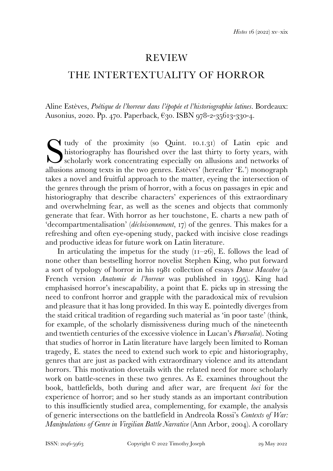## REVIEW

## THE INTERTEXTUALITY OF HORROR

Aline Estèves, *Poétique de l'horreur dans l'épopée et l'historiographie latines*. Bordeaux: Ausonius, 2020. Pp. 470. Paperback, €30. ISBN 978-2-35613-330-4.

tudy of the proximity (so Quint. 10.1.31) of Latin epic and historiography has flourished over the last thirty to forty years, with scholarly work concentrating especially on allusions and networks of allusions among texts in the two genres. Estèves' (hereafter 'E.') monograph takes a novel and fruitful approach to the matter, eyeing the intersection of the genres through the prism of horror, with a focus on passages in epic and historiography that describe characters' experiences of this extraordinary and overwhelming fear, as well as the scenes and objects that commonly generate that fear. With horror as her touchstone, E. charts a new path of 'decompartmentalisation' (*décloisonnement*, 17) of the genres. This makes for a refreshing and often eye-opening study, packed with incisive close readings and productive ideas for future work on Latin literature. S<br>allusio

In articulating the impetus for the study  $(I_1I-26)$ , E. follows the lead of none other than bestselling horror novelist Stephen King, who put forward a sort of typology of horror in his 1981 collection of essays *Danse Macabre* (a French version *Anatomie de l'horreur* was published in 1995). King had emphasised horror's inescapability, a point that E. picks up in stressing the need to confront horror and grapple with the paradoxical mix of revulsion and pleasure that it has long provided. In this way E. pointedly diverges from the staid critical tradition of regarding such material as 'in poor taste' (think, for example, of the scholarly dismissiveness during much of the nineteenth and twentieth centuries of the excessive violence in Lucan's *Pharsalia*). Noting that studies of horror in Latin literature have largely been limited to Roman tragedy, E. states the need to extend such work to epic and historiography, genres that are just as packed with extraordinary violence and its attendant horrors. This motivation dovetails with the related need for more scholarly work on battle-scenes in these two genres. As E. examines throughout the book, battlefields, both during and after war, are frequent *loci* for the experience of horror; and so her study stands as an important contribution to this insufficiently studied area, complementing, for example, the analysis of generic intersections on the battlefield in Andreola Rossi's *Contexts of War: Manipulations of Genre in Virgilian Battle Narrative* (Ann Arbor, 2004). A corollary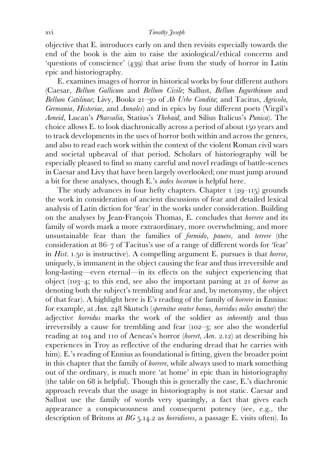## xvi *Timothy Joseph*

objective that E. introduces early on and then revisits especially towards the end of the book is the aim to raise the axiological/ethical concerns and 'questions of conscience' (439) that arise from the study of horror in Latin epic and historiography.

 E. examines images of horror in historical works by four different authors (Caesar, *Bellum Gallicum* and *Bellum Civile*; Sallust, *Bellum Iugurthinum* and *Bellum Catilinae*; Livy, Books 21–30 of *Ab Urbe Condita*; and Tacitus, *Agricola*, *Germania*, *Historiae*, and *Annales*) and in epics by four different poets (Virgil's *Aeneid*, Lucan's *Pharsalia*, Statius's *Thebaid*, and Silius Italicus's *Punica*). The choice allows E. to look diachronically across a period of about 150 years and to track developments in the uses of horror both within and across the genres, and also to read each work within the context of the violent Roman civil wars and societal upheaval of that period. Scholars of historiography will be especially pleased to find so many careful and novel readings of battle-scenes in Caesar and Livy that have been largely overlooked; one must jump around a bit for these analyses, though E.'s *index locorum* is helpful here.

The study advances in four hefty chapters. Chapter  $I(29-115)$  grounds the work in consideration of ancient discussions of fear and detailed lexical analysis of Latin diction for 'fear' in the works under consideration. Building on the analyses by Jean-François Thomas, E. concludes that *horrere* and its family of words mark a more extraordinary, more overwhelming, and more unsustainable fear than the families of *formido*, *pauere*, and *terrere* (the consideration at 86–7 of Tacitus's use of a range of different words for 'fear' in *Hist*. 1.50 is instructive). A compelling argument E. pursues is that *horror*, uniquely, is immanent in the object causing the fear and thus irreversible and long-lasting—even eternal—in its effects on the subject experiencing that object (103–4; to this end, see also the important parsing at 21 of *horror* as denoting both the subject's trembling and fear and, by metonymy, the object of that fear). A highlight here is E's reading of the family of *horrere* in Ennius: for example, at *Ann*. 248 Skutsch (*spernitur orator bonus, horridus miles amatur*) the adjective *horridus* marks the work of the soldier as *inherently* and thus irreversibly a cause for trembling and fear (102–3; see also the wonderful reading at 104 and 110 of Aeneas's horror (*horret, Aen*. 2.12) at describing his experiences in Troy as reflective of the enduring dread that he carries with him). E.'s reading of Ennius as foundational is fitting, given the broader point in this chapter that the family of *horrere*, while always used to mark something out of the ordinary, is much more 'at home' in epic than in historiography (the table on 68 is helpful). Though this is generally the case, E.'s diachronic approach reveals that the usage in historiography is not static. Caesar and Sallust use the family of words very sparingly, a fact that gives each appearance a conspicuousness and consequent potency (see, e.g., the description of Britons at *BG* 5.14.2 as *horridiores*, a passage E. visits often). In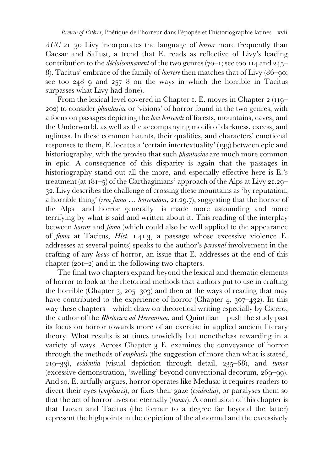*AUC* 21–30 Livy incorporates the language of *horror* more frequently than Caesar and Sallust, a trend that E. reads as reflective of Livy's leading contribution to the *décloisonnement* of the two genres (70–1; see too 114 and 245– 8). Tacitus' embrace of the family of *horrere* then matches that of Livy (86–90; see too 248–9 and 257–8 on the ways in which the horrible in Tacitus surpasses what Livy had done).

 From the lexical level covered in Chapter 1, E. moves in Chapter 2 (119– 202) to consider *phantasiae* or 'visions' of horror found in the two genres, with a focus on passages depicting the *loci horrendi* of forests, mountains, caves, and the Underworld, as well as the accompanying motifs of darkness, excess, and ugliness. In these common haunts, their qualities, and characters' emotional responses to them, E. locates a 'certain intertextuality' (133) between epic and historiography, with the proviso that such *phantasiae* are much more common in epic. A consequence of this disparity is again that the passages in historiography stand out all the more, and especially effective here is E.'s treatment (at 181–5) of the Carthaginians' approach of the Alps at Livy 21.29– 32. Livy describes the challenge of crossing these mountains as 'by reputation, a horrible thing' (*rem fama* … *horrendam*, 21.29.7), suggesting that the horror of the Alps—and horror generally—is made more astounding and more terrifying by what is said and written about it. This reading of the interplay between *horror* and *fama* (which could also be well applied to the appearance of *fama* at Tacitus, *Hist*. 1.41.3, a passage whose excessive violence E. addresses at several points) speaks to the author's *personal* involvement in the crafting of any *locus* of horror, an issue that E. addresses at the end of this chapter (201–2) and in the following two chapters.

 The final two chapters expand beyond the lexical and thematic elements of horror to look at the rhetorical methods that authors put to use in crafting the horrible (Chapter 3, 205–303) and then at the ways of reading that may have contributed to the experience of horror (Chapter 4, 307–432). In this way these chapters—which draw on theoretical writing especially by Cicero, the author of the *Rhetorica ad Herennium*, and Quintilian—push the study past its focus on horror towards more of an exercise in applied ancient literary theory. What results is at times unwieldly but nonetheless rewarding in a variety of ways. Across Chapter 3 E. examines the conveyance of horror through the methods of *emphasis* (the suggestion of more than what is stated, 219–33), *evidentia* (visual depiction through detail, 235–68), and *tumor* (excessive demonstration, 'swelling' beyond conventional decorum, 269–99). And so, E. artfully argues, horror operates like Medusa: it requires readers to divert their eyes (*emphasis*), or fixes their gaze (*evidentia*), or paralyses them so that the act of horror lives on eternally (*tumor*). A conclusion of this chapter is that Lucan and Tacitus (the former to a degree far beyond the latter) represent the highpoints in the depiction of the abnormal and the excessively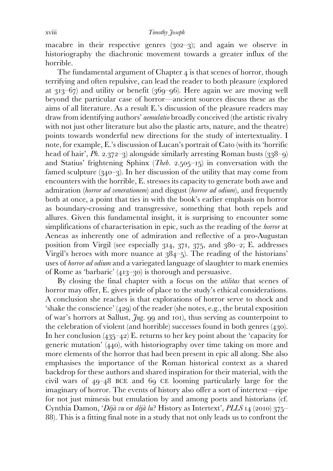macabre in their respective genres (302–3); and again we observe in historiography the diachronic movement towards a greater influx of the horrible.

The fundamental argument of Chapter  $\ddot{a}$  is that scenes of horror, though terrifying and often repulsive, can lead the reader to both pleasure (explored at 313–67) and utility or benefit (369–96). Here again we are moving well beyond the particular case of horror—ancient sources discuss these as the aims of all literature. As a result E.'s discussion of the pleasure readers may draw from identifying authors' *aemulatio* broadly conceived (the artistic rivalry with not just other literature but also the plastic arts, nature, and the theatre) points towards wonderful new directions for the study of intertextuality. I note, for example, E.'s discussion of Lucan's portrait of Cato (with its 'horrific head of hair', *Ph.* 2.372–3) alongside similarly arresting Roman busts (338–9) and Statius' frightening Sphinx (*Theb*. 2.505–15) in conversation with the famed sculpture (340–3). In her discussion of the utility that may come from encounters with the horrible, E. stresses its capacity to generate both awe and admiration (*horror ad venerationem*) and disgust (*horror ad odium*), and frequently both at once, a point that ties in with the book's earlier emphasis on horror as boundary-crossing and transgressive, something that both repels and allures. Given this fundamental insight, it is surprising to encounter some simplifications of characterisation in epic, such as the reading of the *horror* at Aeneas as inherently one of admiration and reflective of a pro-Augustan position from Virgil (see especially 314, 371, 375, and 380–2; E. addresses Virgil's heroes with more nuance at 384–5). The reading of the historians' uses of *horror ad odium* and a variegated language of slaughter to mark enemies of Rome as 'barbaric' (413–30) is thorough and persuasive.

 By closing the final chapter with a focus on the *utilitas* that scenes of horror may offer, E. gives pride of place to the study's ethical considerations. A conclusion she reaches is that explorations of horror serve to shock and 'shake the conscience' (429) of the reader (she notes, e.g., the brutal exposition of war's horrors at Sallust, *Jug*. 99 and 101), thus serving as counterpoint to the celebration of violent (and horrible) successes found in both genres (430). In her conclusion (435–42) E. returns to her key point about the 'capacity for generic mutation' (440), with historiography over time taking on more and more elements of the horror that had been present in epic all along. She also emphasises the importance of the Roman historical context as a shared backdrop for these authors and shared inspiration for their material, with the civil wars of 49–48 BCE and 69 CE looming particularly large for the imaginary of horror. The events of history also offer a sort of intertext—ripe for not just mimesis but emulation by and among poets and historians (cf. Cynthia Damon, '*Déjà vu* or *déjà lu*? History as Intertext', *PLLS* 14 (2010) 375– 88). This is a fitting final note in a study that not only leads us to confront the